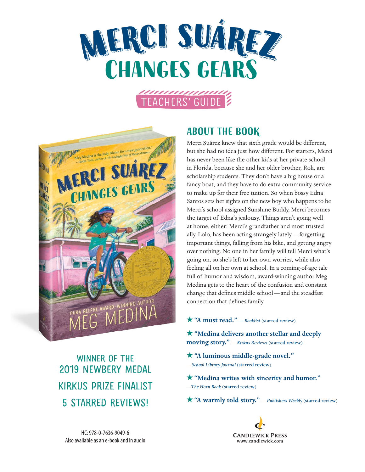





# winner of The 2019 Newbery Medal kirkus Prize Finalist 5 starred reviews!

## **About the Book**

Merci Suárez knew that sixth grade would be different, but she had no idea just how different. For starters, Merci has never been like the other kids at her private school in Florida, because she and her older brother, Roli, are scholarship students. They don't have a big house or a fancy boat, and they have to do extra community service to make up for their free tuition. So when bossy Edna Santos sets her sights on the new boy who happens to be Merci's school-assigned Sunshine Buddy, Merci becomes the target of Edna's jealousy. Things aren't going well at home, either: Merci's grandfather and most trusted ally, Lolo, has been acting strangely lately—forgetting important things, falling from his bike, and getting angry over nothing. No one in her family will tell Merci what's going on, so she's left to her own worries, while also feeling all on her own at school. In a coming-of-age tale full of humor and wisdom, award-winning author Meg Medina gets to the heart of the confusion and constant change that defines middle school—and the steadfast connection that defines family.

#### ★ **"A must read."** *—Booklist* (starred review)

★ **"Medina delivers another stellar and deeply moving story." —***Kirkus Reviews* (starred review)

★ **"A luminous middle-grade novel."** *—School Library Journal* (starred review)

★ **"Medina writes with sincerity and humor."** *—The Horn Book* (starred review)

★ **"A warmly told story."** *—Publishers Weekly* (starred review)



HC: 978-0-7636-9049-6 Also available as an e-book and in audio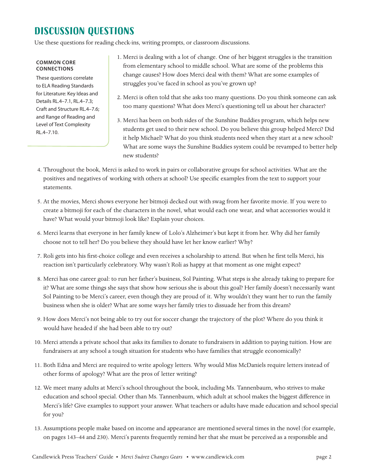## **Discussion Questions**

Use these questions for reading check-ins, writing prompts, or classroom discussions.

#### **COMMON CORE CONNECTIONS**

These questions correlate to ELA Reading Standards for Literature: Key Ideas and Details RL.4–7.1, RL.4–7.3; Craft and Structure RL.4–7.6; and Range of Reading and Level of Text Complexity RL.4–7.10.

- 1. Merci is dealing with a lot of change. One of her biggest struggles is the transition from elementary school to middle school. What are some of the problems this change causes? How does Merci deal with them? What are some examples of struggles you've faced in school as you've grown up?
- 2. Merci is often told that she asks too many questions. Do you think someone can ask too many questions? What does Merci's questioning tell us about her character?
- 3. Merci has been on both sides of the Sunshine Buddies program, which helps new students get used to their new school. Do you believe this group helped Merci? Did it help Michael? What do you think students need when they start at a new school? What are some ways the Sunshine Buddies system could be revamped to better help new students?
- 4. Throughout the book, Merci is asked to work in pairs or collaborative groups for school activities. What are the positives and negatives of working with others at school? Use specific examples from the text to support your statements.
- 5. At the movies, Merci shows everyone her bitmoji decked out with swag from her favorite movie. If you were to create a bitmoji for each of the characters in the novel, what would each one wear, and what accessories would it have? What would your bitmoji look like? Explain your choices.
- 6. Merci learns that everyone in her family knew of Lolo's Alzheimer's but kept it from her. Why did her family choose not to tell her? Do you believe they should have let her know earlier? Why?
- 7. Roli gets into his first-choice college and even receives a scholarship to attend. But when he first tells Merci, his reaction isn't particularly celebratory. Why wasn't Roli as happy at that moment as one might expect?
- 8. Merci has one career goal: to run her father's business, Sol Painting. What steps is she already taking to prepare for it? What are some things she says that show how serious she is about this goal? Her family doesn't necessarily want Sol Painting to be Merci's career, even though they are proud of it. Why wouldn't they want her to run the family business when she is older? What are some ways her family tries to dissuade her from this dream?
- 9. How does Merci's not being able to try out for soccer change the trajectory of the plot? Where do you think it would have headed if she had been able to try out?
- 10. Merci attends a private school that asks its families to donate to fundraisers in addition to paying tuition. How are fundraisers at any school a tough situation for students who have families that struggle economically?
- 11. Both Edna and Merci are required to write apology letters. Why would Miss McDaniels require letters instead of other forms of apology? What are the pros of letter writing?
- 12. We meet many adults at Merci's school throughout the book, including Ms. Tannenbaum, who strives to make education and school special. Other than Ms. Tannenbaum, which adult at school makes the biggest difference in Merci's life? Give examples to support your answer. What teachers or adults have made education and school special for you?
- 13. Assumptions people make based on income and appearance are mentioned several times in the novel (for example, on pages 143–44 and 230). Merci's parents frequently remind her that she must be perceived as a responsible and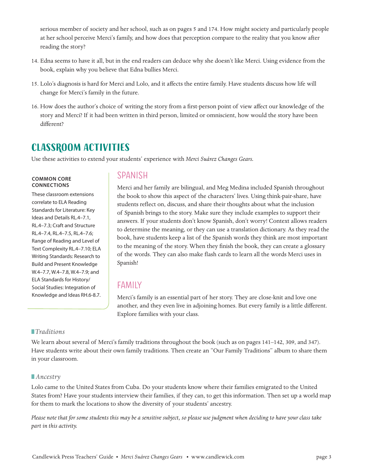serious member of society and her school, such as on pages 5 and 174. How might society and particularly people at her school perceive Merci's family, and how does that perception compare to the reality that you know after reading the story?

- 14. Edna seems to have it all, but in the end readers can deduce why she doesn't like Merci. Using evidence from the book, explain why you believe that Edna bullies Merci.
- 15. Lolo's diagnosis is hard for Merci and Lolo, and it affects the entire family. Have students discuss how life will change for Merci's family in the future.
- 16. How does the author's choice of writing the story from a first-person point of view affect our knowledge of the story and Merci? If it had been written in third person, limited or omniscient, how would the story have been different?

## **Classroom Activities**

Use these activities to extend your students' experience with *Merci Suárez Changes Gears.*

#### **COMMON CORE CONNECTIONS**

These classroom extensions correlate to ELA Reading Standards for Literature: Key Ideas and Details RL.4–7.1, RL.4–7.3; Craft and Structure RL.4–7.4, RL.4–7.5, RL.4–7.6; Range of Reading and Level of Text Complexity RL.4–7.10; ELA Writing Standards: Research to Build and Present Knowledge W.4–7.7, W.4–7.8, W.4–7.9; and ELA Standards for History/ Social Studies: Integration of Knowledge and Ideas RH.6-8.7.

## Spanish

Merci and her family are bilingual, and Meg Medina included Spanish throughout the book to show this aspect of the characters' lives. Using think-pair-share, have students reflect on, discuss, and share their thoughts about what the inclusion of Spanish brings to the story. Make sure they include examples to support their answers. If your students don't know Spanish, don't worry! Context allows readers to determine the meaning, or they can use a translation dictionary. As they read the book, have students keep a list of the Spanish words they think are most important to the meaning of the story. When they finish the book, they can create a glossary of the words. They can also make flash cards to learn all the words Merci uses in Spanish!

## Family

Merci's family is an essential part of her story. They are close-knit and love one another, and they even live in adjoining homes. But every family is a little different. Explore families with your class.

## ■*Traditions*

We learn about several of Merci's family traditions throughout the book (such as on pages 141–142, 309, and 347). Have students write about their own family traditions. Then create an "Our Family Traditions" album to share them in your classroom.

#### ■  *Ancestry*

Lolo came to the United States from Cuba. Do your students know where their families emigrated to the United States from? Have your students interview their families, if they can, to get this information. Then set up a world map for them to mark the locations to show the diversity of your students' ancestry.

*Please note that for some students this may be a sensitive subject, so please use judgment when deciding to have your class take part in this activity.*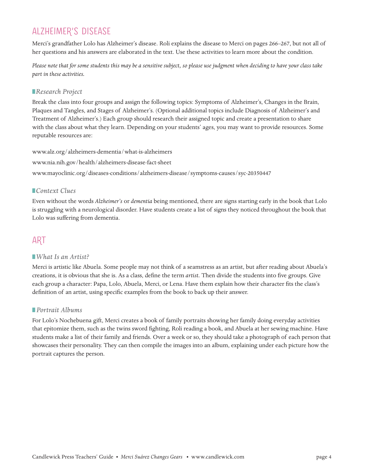## Alzheimer's Disease

Merci's grandfather Lolo has Alzheimer's disease. Roli explains the disease to Merci on pages 266–267, but not all of her questions and his answers are elaborated in the text. Use these activities to learn more about the condition.

*Please note that for some students this may be a sensitive subject, so please use judgment when deciding to have your class take part in these activities.*

#### ■*Research Project*

Break the class into four groups and assign the following topics: Symptoms of Alzheimer's, Changes in the Brain, Plaques and Tangles, and Stages of Alzheimer's. (Optional additional topics include Diagnosis of Alzheimer's and Treatment of Alzheimer's.) Each group should research their assigned topic and create a presentation to share with the class about what they learn. Depending on your students' ages, you may want to provide resources. Some reputable resources are:

www.alz.org/alzheimers-dementia/what-is-alzheimers www.nia.nih.gov/health/alzheimers-disease-fact-sheet www.mayoclinic.org/diseases-conditions/alzheimers-disease/symptoms-causes/syc-20350447

## ■*Context Clues*

Even without the words *Alzheimer's* or *dementia* being mentioned, there are signs starting early in the book that Lolo is struggling with a neurological disorder. Have students create a list of signs they noticed throughout the book that Lolo was suffering from dementia.

## **ART**

#### ■*What Is an Artist?*

Merci is artistic like Abuela. Some people may not think of a seamstress as an artist, but after reading about Abuela's creations, it is obvious that she is. As a class, define the term *artist.* Then divide the students into five groups. Give each group a character: Papa, Lolo, Abuela, Merci, or Lena. Have them explain how their character fits the class's definition of an artist, using specific examples from the book to back up their answer.

#### ■  *Portrait Albums*

For Lolo's Nochebuena gift, Merci creates a book of family portraits showing her family doing everyday activities that epitomize them, such as the twins sword fighting, Roli reading a book, and Abuela at her sewing machine. Have students make a list of their family and friends. Over a week or so, they should take a photograph of each person that showcases their personality. They can then compile the images into an album, explaining under each picture how the portrait captures the person.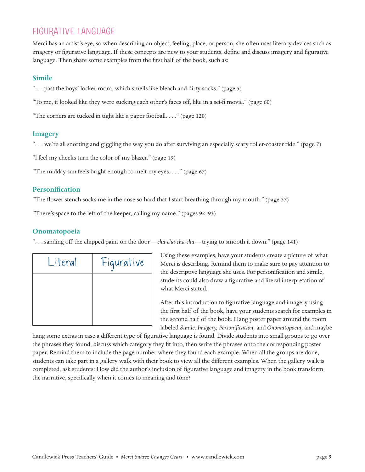## FIGURATIVE LANGUAGE

Merci has an artist's eye, so when describing an object, feeling, place, or person, she often uses literary devices such as imagery or figurative language. If these concepts are new to your students, define and discuss imagery and figurative language. Then share some examples from the first half of the book, such as:

## **Simile**

". . . past the boys' locker room, which smells like bleach and dirty socks." (page 5)

"To me, it looked like they were sucking each other's faces off, like in a sci-fi movie." (page 60)

"The corners are tucked in tight like a paper football. . . ." (page 120)

## **Imagery**

". . . we're all snorting and giggling the way you do after surviving an especially scary roller-coaster ride." (page 7)

"I feel my cheeks turn the color of my blazer." (page 19)

"The midday sun feels bright enough to melt my eyes. . . ." (page 67)

## **Personification**

"The flower stench socks me in the nose so hard that I start breathing through my mouth." (page 37)

"There's space to the left of the keeper, calling my name." (pages 92–93)

## **Onomatopoeia**

". . . sanding off the chipped paint on the door—*cha-cha-cha-cha*—trying to smooth it down." (page 141)

| Literal | Figurative |
|---------|------------|
|         |            |
|         |            |
|         |            |

Using these examples, have your students create a picture of what Merci is describing. Remind them to make sure to pay attention to the descriptive language she uses. For personification and simile, students could also draw a figurative and literal interpretation of what Merci stated.

After this introduction to figurative language and imagery using the first half of the book, have your students search for examples in the second half of the book. Hang poster paper around the room labeled *Simile, Imagery, Personification,* and *Onomatopoeia,* and maybe

hang some extras in case a different type of figurative language is found. Divide students into small groups to go over the phrases they found, discuss which category they fit into, then write the phrases onto the corresponding poster paper. Remind them to include the page number where they found each example. When all the groups are done, students can take part in a gallery walk with their book to view all the different examples. When the gallery walk is completed, ask students: How did the author's inclusion of figurative language and imagery in the book transform the narrative, specifically when it comes to meaning and tone?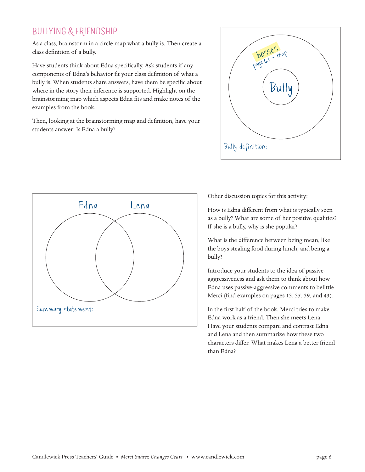## Bullying & Friendship

As a class, brainstorm in a circle map what a bully is. Then create a class definition of a bully.

Have students think about Edna specifically. Ask students if any components of Edna's behavior fit your class definition of what a bully is. When students share answers, have them be specific about where in the story their inference is supported. Highlight on the brainstorming map which aspects Edna fits and make notes of the examples from the book.

Then, looking at the brainstorming map and definition, have your students answer: Is Edna a bully?





Other discussion topics for this activity:

How is Edna different from what is typically seen as a bully? What are some of her positive qualities? If she is a bully, why is she popular?

What is the difference between being mean, like the boys stealing food during lunch, and being a bully?

Introduce your students to the idea of passiveaggressiveness and ask them to think about how Edna uses passive-aggressive comments to belittle Merci (find examples on pages 13, 35, 39, and 43).

In the first half of the book, Merci tries to make Edna work as a friend. Then she meets Lena. Have your students compare and contrast Edna and Lena and then summarize how these two characters differ. What makes Lena a better friend than Edna?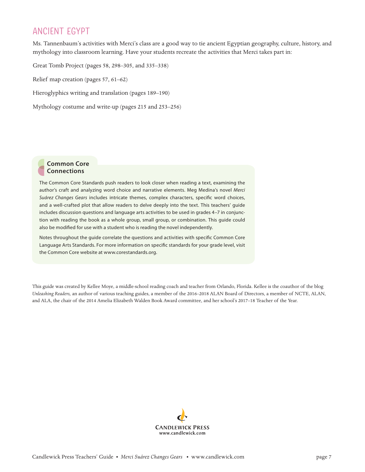## Ancient Egypt

Ms. Tannenbaum's activities with Merci's class are a good way to tie ancient Egyptian geography, culture, history, and mythology into classroom learning. Have your students recreate the activities that Merci takes part in:

Great Tomb Project (pages 58, 298–305, and 335–338) Relief map creation (pages 57, 61–62) Hieroglyphics writing and translation (pages 189–190) Mythology costume and write-up (pages 215 and 253–256)

## **Common Core Connections**

The Common Core Standards push readers to look closer when reading a text, examining the author's craft and analyzing word choice and narrative elements. Meg Medina's novel *Merci Suárez Changes Gears* includes intricate themes, complex characters, specifc word choices, and a well-crafted plot that allow readers to delve deeply into the text. This teachers' guide includes discussion questions and language arts activities to be used in grades 4–7 in conjunction with reading the book as a whole group, small group, or combination. This guide could also be modifed for use with a student who is reading the novel independently.

Notes throughout the guide correlate the questions and activities with specifc Common Core Language Arts Standards. For more information on specifc standards for your grade level, visit the Common Core website at www.corestandards.org.

This guide was created by Kellee Moye, a middle-school reading coach and teacher from Orlando, Florida. Kellee is the coauthor of the blog *Unleashing Readers,* an author of various teaching guides, a member of the 2016–2018 ALAN Board of Directors, a member of NCTE, ALAN, and ALA, the chair of the 2014 Amelia Elizabeth Walden Book Award committee, and her school's 2017–18 Teacher of the Year.